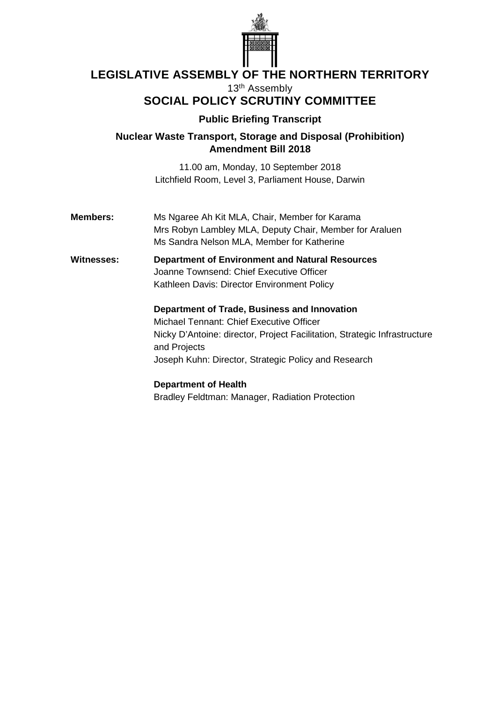

# **LEGISLATIVE ASSEMBLY OF THE NORTHERN TERRITORY**

13th Assembly

## **SOCIAL POLICY SCRUTINY COMMITTEE**

### **Public Briefing Transcript**

**Nuclear Waste Transport, Storage and Disposal (Prohibition) Amendment Bill 2018**

> 11.00 am, Monday, 10 September 2018 Litchfield Room, Level 3, Parliament House, Darwin

**Members:** Ms Ngaree Ah Kit MLA, Chair, Member for Karama Mrs Robyn Lambley MLA, Deputy Chair, Member for Araluen Ms Sandra Nelson MLA, Member for Katherine

**Witnesses: Department of Environment and Natural Resources** Joanne Townsend: Chief Executive Officer Kathleen Davis: Director Environment Policy

> **Department of Trade, Business and Innovation** Michael Tennant: Chief Executive Officer Nicky D'Antoine: director, Project Facilitation, Strategic Infrastructure and Projects Joseph Kuhn: Director, Strategic Policy and Research

### **Department of Health**

Bradley Feldtman: Manager, Radiation Protection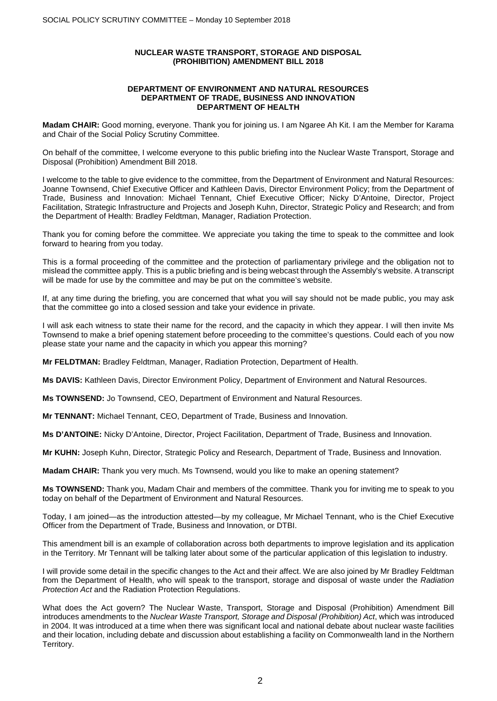### **NUCLEAR WASTE TRANSPORT, STORAGE AND DISPOSAL (PROHIBITION) AMENDMENT BILL 2018**

#### **DEPARTMENT OF ENVIRONMENT AND NATURAL RESOURCES DEPARTMENT OF TRADE, BUSINESS AND INNOVATION DEPARTMENT OF HEALTH**

**Madam CHAIR:** Good morning, everyone. Thank you for joining us. I am Ngaree Ah Kit. I am the Member for Karama and Chair of the Social Policy Scrutiny Committee.

On behalf of the committee, I welcome everyone to this public briefing into the Nuclear Waste Transport, Storage and Disposal (Prohibition) Amendment Bill 2018.

I welcome to the table to give evidence to the committee, from the Department of Environment and Natural Resources: Joanne Townsend, Chief Executive Officer and Kathleen Davis, Director Environment Policy; from the Department of Trade, Business and Innovation: Michael Tennant, Chief Executive Officer; Nicky D'Antoine, Director, Project Facilitation, Strategic Infrastructure and Projects and Joseph Kuhn, Director, Strategic Policy and Research; and from the Department of Health: Bradley Feldtman, Manager, Radiation Protection.

Thank you for coming before the committee. We appreciate you taking the time to speak to the committee and look forward to hearing from you today.

This is a formal proceeding of the committee and the protection of parliamentary privilege and the obligation not to mislead the committee apply. This is a public briefing and is being webcast through the Assembly's website. A transcript will be made for use by the committee and may be put on the committee's website.

If, at any time during the briefing, you are concerned that what you will say should not be made public, you may ask that the committee go into a closed session and take your evidence in private.

I will ask each witness to state their name for the record, and the capacity in which they appear. I will then invite Ms Townsend to make a brief opening statement before proceeding to the committee's questions. Could each of you now please state your name and the capacity in which you appear this morning?

**Mr FELDTMAN:** Bradley Feldtman, Manager, Radiation Protection, Department of Health.

**Ms DAVIS:** Kathleen Davis, Director Environment Policy, Department of Environment and Natural Resources.

**Ms TOWNSEND:** Jo Townsend, CEO, Department of Environment and Natural Resources.

**Mr TENNANT:** Michael Tennant, CEO, Department of Trade, Business and Innovation.

**Ms D'ANTOINE:** Nicky D'Antoine, Director, Project Facilitation, Department of Trade, Business and Innovation.

**Mr KUHN:** Joseph Kuhn, Director, Strategic Policy and Research, Department of Trade, Business and Innovation.

**Madam CHAIR:** Thank you very much. Ms Townsend, would you like to make an opening statement?

**Ms TOWNSEND:** Thank you, Madam Chair and members of the committee. Thank you for inviting me to speak to you today on behalf of the Department of Environment and Natural Resources.

Today, I am joined—as the introduction attested—by my colleague, Mr Michael Tennant, who is the Chief Executive Officer from the Department of Trade, Business and Innovation, or DTBI.

This amendment bill is an example of collaboration across both departments to improve legislation and its application in the Territory. Mr Tennant will be talking later about some of the particular application of this legislation to industry.

I will provide some detail in the specific changes to the Act and their affect. We are also joined by Mr Bradley Feldtman from the Department of Health, who will speak to the transport, storage and disposal of waste under the *Radiation Protection Act* and the Radiation Protection Regulations.

What does the Act govern? The Nuclear Waste, Transport, Storage and Disposal (Prohibition) Amendment Bill introduces amendments to the *Nuclear Waste Transport, Storage and Disposal (Prohibition) Act*, which was introduced in 2004. It was introduced at a time when there was significant local and national debate about nuclear waste facilities and their location, including debate and discussion about establishing a facility on Commonwealth land in the Northern Territory.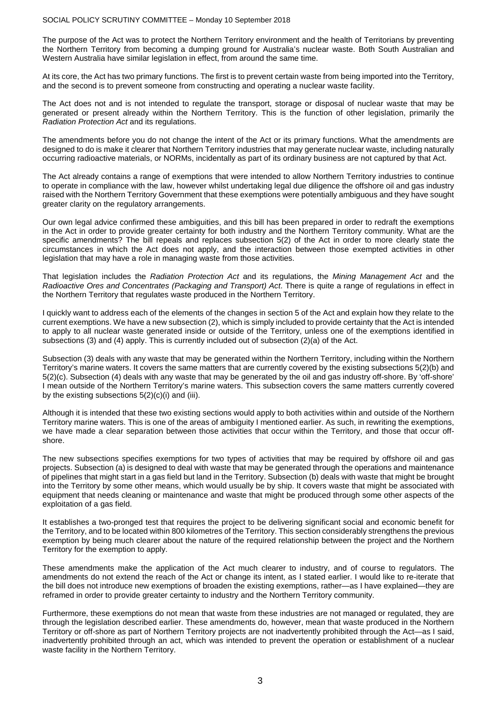#### SOCIAL POLICY SCRUTINY COMMITTEE – Monday 10 September 2018

The purpose of the Act was to protect the Northern Territory environment and the health of Territorians by preventing the Northern Territory from becoming a dumping ground for Australia's nuclear waste. Both South Australian and Western Australia have similar legislation in effect, from around the same time.

At its core, the Act has two primary functions. The first is to prevent certain waste from being imported into the Territory, and the second is to prevent someone from constructing and operating a nuclear waste facility.

The Act does not and is not intended to regulate the transport, storage or disposal of nuclear waste that may be generated or present already within the Northern Territory. This is the function of other legislation, primarily the *Radiation Protection Act* and its regulations.

The amendments before you do not change the intent of the Act or its primary functions. What the amendments are designed to do is make it clearer that Northern Territory industries that may generate nuclear waste, including naturally occurring radioactive materials, or NORMs, incidentally as part of its ordinary business are not captured by that Act.

The Act already contains a range of exemptions that were intended to allow Northern Territory industries to continue to operate in compliance with the law, however whilst undertaking legal due diligence the offshore oil and gas industry raised with the Northern Territory Government that these exemptions were potentially ambiguous and they have sought greater clarity on the regulatory arrangements.

Our own legal advice confirmed these ambiguities, and this bill has been prepared in order to redraft the exemptions in the Act in order to provide greater certainty for both industry and the Northern Territory community. What are the specific amendments? The bill repeals and replaces subsection 5(2) of the Act in order to more clearly state the circumstances in which the Act does not apply, and the interaction between those exempted activities in other legislation that may have a role in managing waste from those activities.

That legislation includes the *Radiation Protection Act* and its regulations, the *Mining Management Act* and the *Radioactive Ores and Concentrates (Packaging and Transport) Act*. There is quite a range of regulations in effect in the Northern Territory that regulates waste produced in the Northern Territory.

I quickly want to address each of the elements of the changes in section 5 of the Act and explain how they relate to the current exemptions. We have a new subsection (2), which is simply included to provide certainty that the Act is intended to apply to all nuclear waste generated inside or outside of the Territory, unless one of the exemptions identified in subsections (3) and (4) apply. This is currently included out of subsection (2)(a) of the Act.

Subsection (3) deals with any waste that may be generated within the Northern Territory, including within the Northern Territory's marine waters. It covers the same matters that are currently covered by the existing subsections 5(2)(b) and 5(2)(c). Subsection (4) deals with any waste that may be generated by the oil and gas industry off-shore. By 'off-shore' I mean outside of the Northern Territory's marine waters. This subsection covers the same matters currently covered by the existing subsections  $5(2)(c)(i)$  and (iii).

Although it is intended that these two existing sections would apply to both activities within and outside of the Northern Territory marine waters. This is one of the areas of ambiguity I mentioned earlier. As such, in rewriting the exemptions, we have made a clear separation between those activities that occur within the Territory, and those that occur offshore.

The new subsections specifies exemptions for two types of activities that may be required by offshore oil and gas projects. Subsection (a) is designed to deal with waste that may be generated through the operations and maintenance of pipelines that might start in a gas field but land in the Territory. Subsection (b) deals with waste that might be brought into the Territory by some other means, which would usually be by ship. It covers waste that might be associated with equipment that needs cleaning or maintenance and waste that might be produced through some other aspects of the exploitation of a gas field.

It establishes a two-pronged test that requires the project to be delivering significant social and economic benefit for the Territory, and to be located within 800 kilometres of the Territory. This section considerably strengthens the previous exemption by being much clearer about the nature of the required relationship between the project and the Northern Territory for the exemption to apply.

These amendments make the application of the Act much clearer to industry, and of course to regulators. The amendments do not extend the reach of the Act or change its intent, as I stated earlier. I would like to re-iterate that the bill does not introduce new exemptions of broaden the existing exemptions, rather—as I have explained—they are reframed in order to provide greater certainty to industry and the Northern Territory community.

Furthermore, these exemptions do not mean that waste from these industries are not managed or regulated, they are through the legislation described earlier. These amendments do, however, mean that waste produced in the Northern Territory or off-shore as part of Northern Territory projects are not inadvertently prohibited through the Act—as I said, inadvertently prohibited through an act, which was intended to prevent the operation or establishment of a nuclear waste facility in the Northern Territory.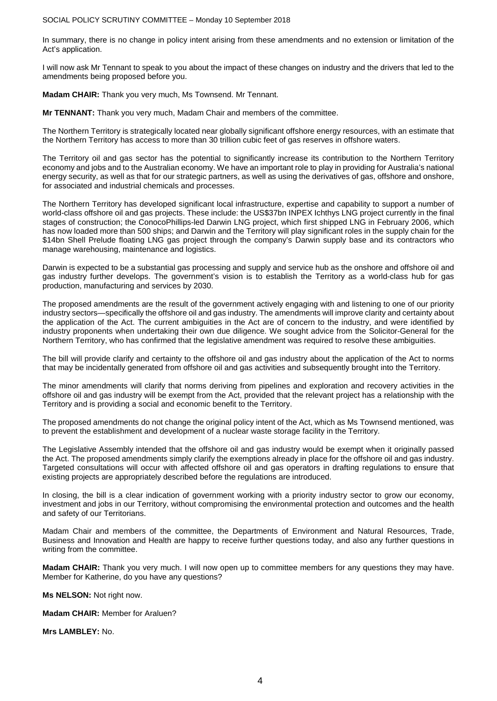SOCIAL POLICY SCRUTINY COMMITTEE – Monday 10 September 2018

In summary, there is no change in policy intent arising from these amendments and no extension or limitation of the Act's application.

I will now ask Mr Tennant to speak to you about the impact of these changes on industry and the drivers that led to the amendments being proposed before you.

**Madam CHAIR:** Thank you very much, Ms Townsend. Mr Tennant.

**Mr TENNANT:** Thank you very much, Madam Chair and members of the committee.

The Northern Territory is strategically located near globally significant offshore energy resources, with an estimate that the Northern Territory has access to more than 30 trillion cubic feet of gas reserves in offshore waters.

The Territory oil and gas sector has the potential to significantly increase its contribution to the Northern Territory economy and jobs and to the Australian economy. We have an important role to play in providing for Australia's national energy security, as well as that for our strategic partners, as well as using the derivatives of gas, offshore and onshore, for associated and industrial chemicals and processes.

The Northern Territory has developed significant local infrastructure, expertise and capability to support a number of world-class offshore oil and gas projects. These include: the US\$37bn INPEX Ichthys LNG project currently in the final stages of construction; the ConocoPhillips-led Darwin LNG project, which first shipped LNG in February 2006, which has now loaded more than 500 ships; and Darwin and the Territory will play significant roles in the supply chain for the \$14bn Shell Prelude floating LNG gas project through the company's Darwin supply base and its contractors who manage warehousing, maintenance and logistics.

Darwin is expected to be a substantial gas processing and supply and service hub as the onshore and offshore oil and gas industry further develops. The government's vision is to establish the Territory as a world-class hub for gas production, manufacturing and services by 2030.

The proposed amendments are the result of the government actively engaging with and listening to one of our priority industry sectors—specifically the offshore oil and gas industry. The amendments will improve clarity and certainty about the application of the Act. The current ambiguities in the Act are of concern to the industry, and were identified by industry proponents when undertaking their own due diligence. We sought advice from the Solicitor-General for the Northern Territory, who has confirmed that the legislative amendment was required to resolve these ambiguities.

The bill will provide clarify and certainty to the offshore oil and gas industry about the application of the Act to norms that may be incidentally generated from offshore oil and gas activities and subsequently brought into the Territory.

The minor amendments will clarify that norms deriving from pipelines and exploration and recovery activities in the offshore oil and gas industry will be exempt from the Act, provided that the relevant project has a relationship with the Territory and is providing a social and economic benefit to the Territory.

The proposed amendments do not change the original policy intent of the Act, which as Ms Townsend mentioned, was to prevent the establishment and development of a nuclear waste storage facility in the Territory.

The Legislative Assembly intended that the offshore oil and gas industry would be exempt when it originally passed the Act. The proposed amendments simply clarify the exemptions already in place for the offshore oil and gas industry. Targeted consultations will occur with affected offshore oil and gas operators in drafting regulations to ensure that existing projects are appropriately described before the regulations are introduced.

In closing, the bill is a clear indication of government working with a priority industry sector to grow our economy, investment and jobs in our Territory, without compromising the environmental protection and outcomes and the health and safety of our Territorians.

Madam Chair and members of the committee, the Departments of Environment and Natural Resources, Trade, Business and Innovation and Health are happy to receive further questions today, and also any further questions in writing from the committee.

**Madam CHAIR:** Thank you very much. I will now open up to committee members for any questions they may have. Member for Katherine, do you have any questions?

**Ms NELSON:** Not right now.

**Madam CHAIR:** Member for Araluen?

**Mrs LAMBLEY:** No.